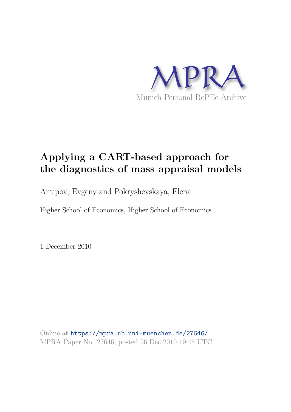

# **Applying a CART-based approach for the diagnostics of mass appraisal models**

Antipov, Evgeny and Pokryshevskaya, Elena

Higher School of Economics, Higher School of Economics

1 December 2010

Online at https://mpra.ub.uni-muenchen.de/27646/ MPRA Paper No. 27646, posted 26 Dec 2010 19:45 UTC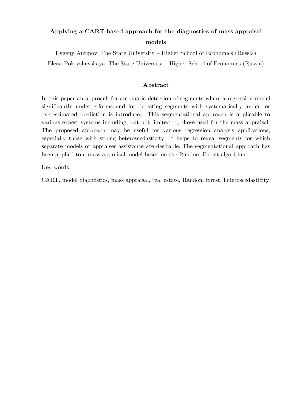# **Applying a CART-based approach for the diagnostics of mass appraisal models**

Evgeny Antipov, The State University – Higher School of Economics (Russia) Elena Pokryshevskaya, The State University – Higher School of Economics (Russia)

# **Abstract**

In this paper an approach for automatic detection of segments where a regression model significantly underperforms and for detecting segments with systematically under- or overestimated prediction is introduced. This segmentational approach is applicable to various expert systems including, but not limited to, those used for the mass appraisal. The proposed approach may be useful for various regression analysis applications, especially those with strong heteroscedasticity. It helps to reveal segments for which separate models or appraiser assistance are desirable. The segmentational approach has been applied to a mass appraisal model based on the Random Forest algorithm.

Key words:

CART, model diagnostics, mass appraisal, real estate, Random forest, heteroscedasticity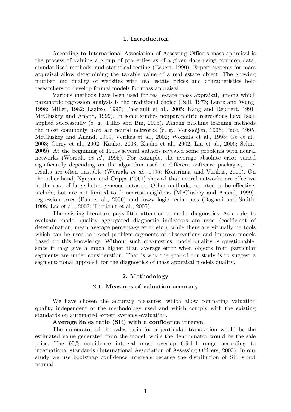#### **1. Introduction**

According to International Association of Assessing Officers mass appraisal is the process of valuing a group of properties as of a given date using common data, standardized methods, and statistical testing (Eckert, 1990). Expert systems for mass appraisal allow determining the taxable value of a real estate object. The growing number and quality of websites with real estate prices and characteristics help researchers to develop formal models for mass appraisal.

Various methods have been used for real estate mass appraisal, among which parametric regression analysis is the traditional choice (Ball, 1973; Lentz and Wang, 1998; Miller, 1982; Laakso, 1997; Theriault et al., 2005; Kang and Reichert, 1991; McCluskey and Anand, 1999). In some studies nonparametric regressions have been applied successfully (e. g., Filho and Bin, 2005). Among machine learning methods the most commonly used are neural networks (e. g., Verkooijen, 1996; Pace, 1995; McCluskey and Anand, 1999; Verikas et al., 2002; Worzala et al., 1995; Ge et al., 2003; Curry et al., 2002; Kauko, 2003; Kauko et al., 2002; Liu et al., 2006; Selim, 2009). At the beginning of 1990s several authors revealed some problems with neural networks (Worzala et al., 1995). For example, the average absolute error varied significantly depending on the algorithm used in different software packages, i. e. results are often unstable (Worzala et al., 1995; Kontrimas and Verikas, 2010). On the other hand, Nguyen and Cripps (2001) showed that neural networks are effective in the case of large heterogeneous datasets. Other methods, reported to be effective, include, but are not limited to, k nearest neighbors (McCluskey and Anand, 1999), regression trees (Fan et al., 2006) and fuzzy logic techniques (Bagnoli and Smith, 1998; Lee et al., 2003; Theriault et al., 2005).

The existing literature pays little attention to model diagnostics. As a rule, to evaluate model quality aggregated diagnostic indicators are used (coefficient of determination, mean average percentage error etc.), while there are virtually no tools which can be used to reveal problem segments of observations and improve models based on this knowledge. Without such diagnostics, model quality is questionable, since it may give a much higher than average error when objects from particular segments are under consideration. That is why the goal of our study is to suggest a segmentational approach for the diagnostics of mass appraisal models quality.

# **2. Methodology**

#### **2.1. Measures of valuation accuracy**

We have chosen the accuracy measures, which allow comparing valuation quality independent of the methodology used and which comply with the existing standards on automated expert systems evaluation.

#### **Average Sales ratio (SR) with a confidence interval**

The numerator of the sales ratio for a particular transaction would be the estimated value generated from the model, while the denominator would be the sale price. The 95% confidence interval must overlap 0.9-1.1 range according to international standards (International Association of Assessing Officers, 2003). In our study we use bootstrap confidence intervals because the distribution of SR is not normal.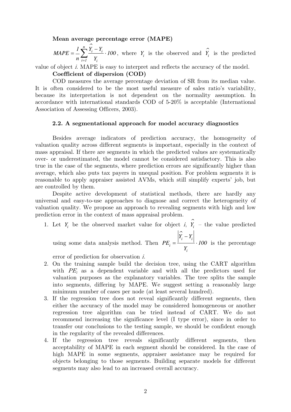**Mean average percentage error (MAPE)**

$$
MAPE = \frac{1}{n} \sum_{i=1}^{n} \frac{\hat{Y}_i - Y_i}{Y_i} \cdot 100
$$
, where  $Y_i$  is the observed and  $\hat{Y}_i$  is the predicted

value of object i. MAPE is easy to interpret and reflects the accuracy of the model.

**Coefficient of dispersion (COD)**

COD measures the average percentage deviation of SR from its median value. It is often considered to be the most useful measure of sales ratio's variability, because its interpretation is not dependent on the normality assumption. In accordance with international standards COD of 5-20% is acceptable (International Association of Assessing Officers, 2003).

# **2.2. A segmentational approach for model accuracy diagnostics**

Besides average indicators of prediction accuracy, the homogeneity of valuation quality across different segments is important, especially in the context of mass appraisal. If there are segments in which the predicted values are systematically over- or underestimated, the model cannot be considered satisfactory. This is also true in the case of the segments, where prediction errors are significantly higher than average, which also puts tax payers in unequal position. For problem segments it is reasonable to apply appraiser assisted AVMs, which still simplify experts' job, but are controlled by them.

Despite active development of statistical methods, there are hardly any universal and easy-to-use approaches to diagnose and correct the heterogeneity of valuation quality. We propose an approach to revealing segments with high and low prediction error in the context of mass appraisal problem.

1. Let  $Y_i$  be the observed market value for object *i*,  $\hat{Y}_i$  *i Y* – the value predicted using some data analysis method. Then ⌒  $i - I_i$ *i*  $Y_i - Y$  $PE_i = \frac{1}{100} \cdot 100$ *Y* −  $=\frac{1}{2} \cdot 100$  is the percentage

*i*

error of prediction for observation i.

- 2. On the training sample build the decision tree, using the CART algorithm with  $PE<sub>i</sub>$  as a dependent variable and with all the predictors used for valuation purposes as the explanatory variables. The tree splits the sample into segments, differing by MAPE. We suggest setting a reasonably large minimum number of cases per node (at least several hundred).
- 3. If the regression tree does not reveal significantly different segments, then either the accuracy of the model may be considered homogeneous or another regression tree algorithm can be tried instead of CART. We do not recommend increasing the significance level (I type error), since in order to transfer our conclusions to the testing sample, we should be confident enough in the regularity of the revealed differences.
- 4. If the regression tree reveals significantly different segments, then acceptability of MAPE in each segment should be considered. In the case of high MAPE in some segments, appraiser assistance may be required for objects belonging to those segments. Building separate models for different segments may also lead to an increased overall accuracy.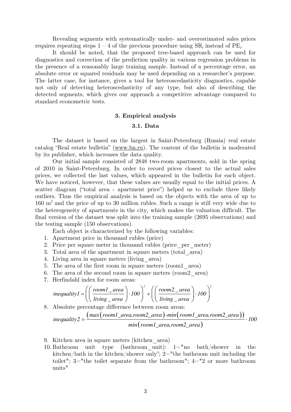Revealing segments with systematically under- and overestimated sales prices requires repeating steps  $1 - 4$  of the previous procedure using  $SR_i$  instead of  $PE_i$ .

It should be noted, that the proposed tree-based approach can be used for diagnostics and correction of the prediction quality in various regression problems in the presence of a reasonably large training sample. Instead of a percentage error, an absolute error or squared residuals may be used depending on a researcher's purpose. The latter case, for instance, gives a tool for heteroscedasticity diagnostics, capable not only of detecting heteroscedasticity of any type, but also of describing the detected segments, which gives our approach a competitive advantage compared to standard econometric tests.

### **3. Empirical analysis**

# **3.1. Data**

The dataset is based on the largest in Saint-Petersburg (Russia) real estate catalog "Real estate bulletin" (www.bn.ru). The content of the bulletin is moderated by its publisher, which increases the data quality.

Our initial sample consisted of 2848 two-room apartments, sold in the spring of 2010 in Saint-Petersburg. In order to record prices closest to the actual sales prices, we collected the last values, which appeared in the bulletin for each object. We have noticed, however, that these values are usually equal to the initial prices. A scatter diagram ("total area - apartment price") helped us to exclude three likely outliers. Thus the empirical analysis is based on the objects with the area of up to 160 m<sup>2</sup> and the price of up to 30 million rubles. Such a range is still very wide due to the heterogeneity of apartments in the city, which makes the valuation difficult. The final version of the dataset was split into the training sample (2695 observations) and the testing sample (150 observations).

Each object is characterized by the following variables:

- 1. Apartment price in thousand rubles (price)
- 2. Price per square meter in thousand rubles (price\_per\_meter)
- 3. Total area of the apartment in square meters (total\_area)
- 4. Living area in square meters (living\_area)
- 5. The area of the first room in square meters (room1\_area)
- 6. The area of the second room in square meters (room2\_area)
- 7. Herfindahl index for room areas:

$$
inequality1 = \left( \left( \frac{room1\_area}{living\_area} \right) \cdot 100 \right)^2 + \left( \left( \frac{room2\_area}{living\_area} \right) \cdot 100 \right)^2
$$

8. Absolute percentage difference between room areas:

$$
inequality2 = \frac{(max(room1\_area,room2\_area) - min(room1\_area,room2\_area))}{min(room1\_area,room2\_area)} \cdot 100
$$

- 9. Kitchen area in square meters (kitchen\_area)
- 10. Bathroom unit type (bathroom unit):  $1=$ "no bath/shower in the kitchen/bath in the kitchen/shower only"; 2="the bathroom unit including the toilet"; 3="the toilet separate from the bathroom"; 4="2 or more bathroom units"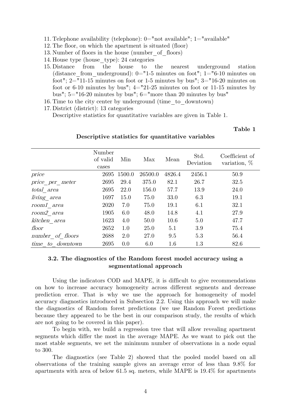- 11. Telephone availability (telephone): 0="not available"; 1="available"
- 12. The floor, on which the apartment is situated (floor)
- 13. Number of floors in the house (number\_of\_floors)
- 14. House type (house\_type): 24 categories
- 15. Distance from the house to the nearest underground station (distance from underground):  $0=$ "1-5 minutes on foot"; 1="6-10 minutes on foot";  $2 = 11-15$  minutes on foot or 1-5 minutes by bus";  $3 = 16-20$  minutes on foot or 6-10 minutes by bus";  $4 = 21-25$  minutes on foot or 11-15 minutes by bus";  $5=$ "16-20 minutes by bus";  $6=$ "more than 20 minutes by bus"
- 16. Time to the city center by underground (time\_to\_downtown)
- 17. District (district): 13 categories

Descriptive statistics for quantitative variables are given in Table 1.

**Table 1** 

# **Descriptive statistics for quantitative variables**

|                     | Number<br>of valid<br>cases | Min    | Max     | Mean   | Std.<br>Deviation | Coefficient of<br>variation, $%$ |
|---------------------|-----------------------------|--------|---------|--------|-------------------|----------------------------------|
| price               | 2695                        | 1500.0 | 26500.0 | 4826.4 | 2456.1            | 50.9                             |
| $price\_per\_meter$ | 2695                        | 29.4   | 375.0   | 82.1   | 26.7              | 32.5                             |
| total area          | 2695                        | 22.0   | 156.0   | 57.7   | 13.9              | 24.0                             |
| $Iiving\_area$      | 1697                        | 15.0   | 75.0    | 33.0   | 6.3               | 19.1                             |
| room1 area          | 2020                        | 7.0    | 75.0    | 19.1   | 6.1               | 32.1                             |
| room2 area          | 1905                        | 6.0    | 48.0    | 14.8   | 4.1               | 27.9                             |
| kitchen area        | 1623                        | 4.0    | 50.0    | 10.6   | 5.0               | 47.7                             |
| floor               | 2652                        | 1.0    | 25.0    | 5.1    | 3.9               | 75.4                             |
| number of floors    | 2688                        | 2.0    | 27.0    | 9.5    | 5.3               | 56.4                             |
| time to downtown    | 2695                        | 0.0    | 6.0     | 1.6    | 1.3               | 82.6                             |

# **3.2. The diagnostics of the Random forest model accuracy using a segmentational approach**

Using the indicators COD and MAPE, it is difficult to give recommendations on how to increase accuracy homogeneity across different segments and decrease prediction error. That is why we use the approach for homogeneity of model accuracy diagnostics introduced in Subsection 2.2. Using this approach we will make the diagnostics of Random forest predictions (we use Random Forest predictions because they appeared to be the best in our comparison study, the results of which are not going to be covered in this paper).

To begin with, we build a regression tree that will allow revealing apartment segments which differ the most in the average MAPE. As we want to pick out the most stable segments, we set the minimum number of observations in a node equal to 300.

The diagnostics (see Table 2) showed that the pooled model based on all observations of the training sample gives an average error of less than 9.8% for apartments with area of below 61.5 sq. meters, while MAPE is 19.4% for apartments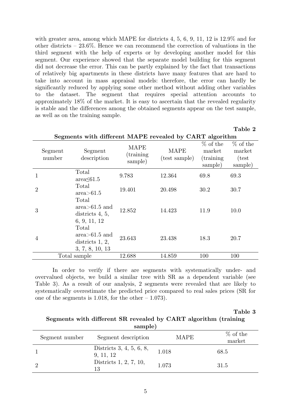with greater area, among which MAPE for districts 4, 5, 6, 9, 11, 12 is  $12.9\%$  and for other districts – 23.6%. Hence we can recommend the correction of valuations in the third segment with the help of experts or by developing another model for this segment. Our experience showed that the separate model building for this segment did not decrease the error. This can be partly explained by the fact that transactions of relatively big apartments in these districts have many features that are hard to take into account in mass appraisal models: therefore, the error can hardly be significantly reduced by applying some other method without adding other variables to the dataset. The segment that requires special attention accounts to approximately 18% of the market. It is easy to ascertain that the revealed regularity is stable and the differences among the obtained segments appear on the test sample, as well as on the training sample.

| Segments with different MAPE revealed by CART algorithm |                                                                    |                                      |                              |                                               |                                           |  |
|---------------------------------------------------------|--------------------------------------------------------------------|--------------------------------------|------------------------------|-----------------------------------------------|-------------------------------------------|--|
| Segment<br>number                                       | Segment<br>description                                             | <b>MAPE</b><br>(training)<br>sample) | <b>MAPE</b><br>(test sample) | $%$ of the<br>market<br>(training)<br>sample) | $%$ of the<br>market<br>(test)<br>sample) |  |
| 1                                                       | Total<br>$area \leq 61.5$                                          | 9.783                                | 12.364                       | 69.8                                          | 69.3                                      |  |
| $\overline{2}$                                          | Total<br>area > 61.5                                               | 19.401                               | 20.498                       | 30.2                                          | 30.7                                      |  |
| 3                                                       | Total<br>$area > 61.5$ and<br>districts $4, 5,$<br>6, 9, 11, 12    | 12.852                               | 14.423                       | 11.9                                          | 10.0                                      |  |
| 4                                                       | Total<br>$area > 61.5$ and<br>districts $1, 2,$<br>3, 7, 8, 10, 13 | 23.643                               | 23.438                       | 18.3                                          | 20.7                                      |  |
| Total sample                                            |                                                                    | 12.688                               | 14.859                       | 100                                           | 100                                       |  |

In order to verify if there are segments with systematically under- and overvalued objects, we build a similar tree with SR as a dependent variable (see Table 3). As a result of our analysis, 2 segments were revealed that are likely to systematically overestimate the predicted price compared to real sales prices (SR for one of the segments is 1.018, for the other  $-1.073$ .

**Table 3** 

# **Segments with different SR revealed by CART algorithm (training sample)**

| Segment number | Segment description                   | <b>MAPE</b> | $%$ of the<br>market |
|----------------|---------------------------------------|-------------|----------------------|
|                | Districts 3, 4, 5, 6, 8,<br>9, 11, 12 | 1.018       | 68.5                 |
|                | Districts 1, 2, 7, 10,<br>13          | 1.073       | 31.5                 |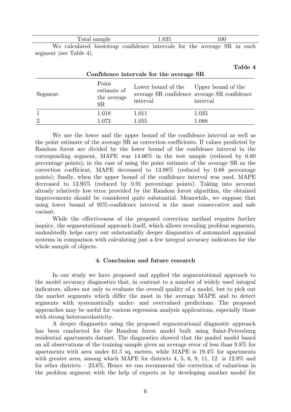|  | Total sample |                                                                         | 1.035 |  | 100 |  |  |
|--|--------------|-------------------------------------------------------------------------|-------|--|-----|--|--|
|  |              | We calculated bootstrap confidence intervals for the average SR in each |       |  |     |  |  |

segment (see Table 4).

# **Table 4**

| Confidence intervals for the average SR |                                           |                                                   |                                                         |  |  |
|-----------------------------------------|-------------------------------------------|---------------------------------------------------|---------------------------------------------------------|--|--|
| Segment                                 | Point<br>estimate of<br>the average<br>SR | Lower bound of the Upper bound of the<br>interval | average SR confidence average SR confidence<br>interval |  |  |
| $\mathbf{1}$                            | 1.018                                     | 1.011                                             | 1.025                                                   |  |  |
| $\overline{2}$                          | 1.073                                     | 1.055                                             | 1.088                                                   |  |  |

We use the lower and the upper bound of the confidence interval as well as the point estimate of the average SR as correction coefficients. If values predicted by Random forest are divided by the lower bound of the confidence interval in the corresponding segment, MAPE was 14.06% in the test sample (reduced by 0.80 percentage points); in the case of using the point estimate of the average SR as the correction coefficient, MAPE decreased to 13.98% (reduced by 0.88 percentage points); finally, when the upper bound of the confidence interval was used, MAPE decreased to 13.95% (reduced by 0.91 percentage points). Taking into account already relatively low error provided by the Random forest algorithm, the obtained improvements should be considered quite substantial. Meanwhile, we suppose that using lower bound of 95%-confidence interval is the most conservative and safe variant.

While the effectiveness of the proposed correction method requires further inquiry, the segmentational approach itself, which allows revealing problem segments, undoubtedly helps carry out substantially deeper diagnostics of automated appraisal systems in comparison with calculating just a few integral accuracy indicators for the whole sample of objects.

# **4. Conclusion and future research**

In our study we have proposed and applied the segmentational approach to the model accuracy diagnostics that, in contrast to a number of widely used integral indicators, allows not only to evaluate the overall quality of a model, but to pick out the market segments which differ the most in the average MAPE and to detect segments with systematically under- and overvalued predictions. The proposed approaches may be useful for various regression analysis applications, especially those with strong heteroscedasticity.

A deeper diagnostics using the proposed segmentational diagnostic approach has been conducted for the Random forest model built using Saint-Petersburg residential apartments dataset. The diagnostics showed that the pooled model based on all observations of the training sample gives an average error of less than 9.8% for apartments with area under 61.5 sq. meters, while MAPE is 19.4% for apartments with greater area, among which MAPE for districts 4, 5, 6, 9, 11, 12 is 12.9% and for other districts – 23.6%. Hence we can recommend the correction of valuations in the problem segment with the help of experts or by developing another model for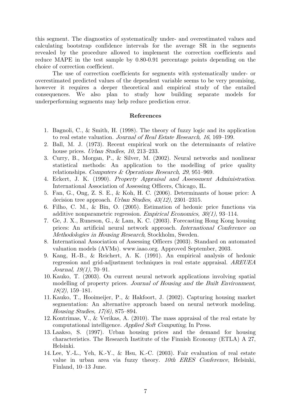this segment. The diagnostics of systematically under- and overestimated values and calculating bootstrap confidence intervals for the average SR in the segments revealed by the procedure allowed to implement the correction coefficients and reduce MAPE in the test sample by 0.80-0.91 percentage points depending on the choice of correction coefficient.

The use of correction coefficients for segments with systematically under- or overestimated predicted values of the dependent variable seems to be very promising, however it requires a deeper theoretical and empirical study of the entailed consequences. We also plan to study how building separate models for underperforming segments may help reduce prediction error.

# **References**

- 1. Bagnoli, C., & Smith, H. (1998). The theory of fuzzy logic and its application to real estate valuation. Journal of Real Estate Research, 16, 169–199.
- 2. Ball, M. J. (1973). Recent empirical work on the determinants of relative house prices. Urban Studies, 10, 213–233.
- 3. Curry, B., Morgan, P., & Silver, M. (2002). Neural networks and nonlinear statistical methods: An application to the modelling of price quality relationships. Computers & Operations Research, 29, 951–969.
- 4. Eckert, J. K. (1990). Property Appraisal and Assessment Administration. International Association of Assessing Officers, Chicago, IL.
- 5. Fan, G., Ong, Z. S. E., & Koh, H. C. (2006). Determinants of house price: A decision tree approach. Urban Studies, 43(12), 2301–2315.
- 6. Filho, C. M., & Bin, O. (2005). Estimation of hedonic price functions via additive nonparametric regression. Empirical Economics,  $30(1)$ , 93–114.
- 7. Ge, J. X., Runeson, G., & Lam, K. C. (2003). Forecasting Hong Kong housing prices: An artificial neural network approach. International Conference on Methodologies in Housing Research, Stockholm, Sweden.
- 8. International Association of Assessing Officers (2003). Standard on automated valuation models (AVMs). www.iaao.org. Approved September, 2003.
- 9. Kang, H.-B., & Reichert, A. K. (1991). An empirical analysis of hedonic regression and grid-adjustment techniques in real estate appraisal. AREUEA Journal, 19(1), 70–91.
- 10. Kauko, T. (2003). On current neural network applications involving spatial modelling of property prices. Journal of Housing and the Built Environment, 18(2), 159–181.
- 11. Kauko, T., Hooimeijer, P., & Hakfoort, J. (2002). Capturing housing market segmentation: An alternative approach based on neural network modeling. Housing Studies, 17(6), 875–894.
- 12. Kontrimas, V., & Verikas, A. (2010). The mass appraisal of the real estate by computational intelligence. Applied Soft Computing, In Press.
- 13. Laakso, S. (1997). Urban housing prices and the demand for housing characteristics. The Research Institute of the Finnish Economy (ETLA) A 27, Helsinki.
- 14. Lee, Y.-L., Yeh, K.-Y., & Hsu, K.-C. (2003). Fair evaluation of real estate value in urban area via fuzzy theory. 10th ERES Conference, Helsinki, Finland, 10–13 June.